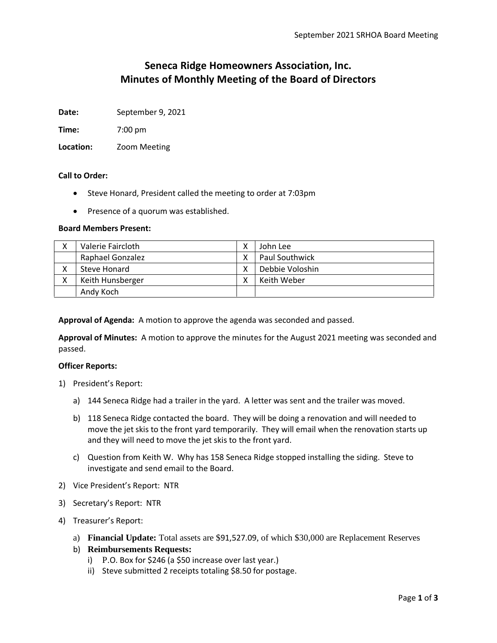# **Seneca Ridge Homeowners Association, Inc. Minutes of Monthly Meeting of the Board of Directors**

**Date:** September 9, 2021

**Time:** 7:00 pm

**Location:** Zoom Meeting

#### **Call to Order:**

- Steve Honard, President called the meeting to order at 7:03pm
- Presence of a quorum was established.

#### **Board Members Present:**

| Valerie Faircloth       | John Lee              |
|-------------------------|-----------------------|
| <b>Raphael Gonzalez</b> | <b>Paul Southwick</b> |
| Steve Honard            | Debbie Voloshin       |
| Keith Hunsberger        | Keith Weber           |
| Andy Koch               |                       |

**Approval of Agenda:** A motion to approve the agenda was seconded and passed.

**Approval of Minutes:** A motion to approve the minutes for the August 2021 meeting was seconded and passed.

#### **Officer Reports:**

- 1) President's Report:
	- a) 144 Seneca Ridge had a trailer in the yard. A letter was sent and the trailer was moved.
	- b) 118 Seneca Ridge contacted the board. They will be doing a renovation and will needed to move the jet skis to the front yard temporarily. They will email when the renovation starts up and they will need to move the jet skis to the front yard.
	- c) Question from Keith W. Why has 158 Seneca Ridge stopped installing the siding. Steve to investigate and send email to the Board.
- 2) Vice President's Report: NTR
- 3) Secretary's Report: NTR
- 4) Treasurer's Report:
	- a) **Financial Update:** Total assets are \$91,527.09, of which \$30,000 are Replacement Reserves
	- b) **Reimbursements Requests:** 
		- i) P.O. Box for \$246 (a \$50 increase over last year.)
		- ii) Steve submitted 2 receipts totaling \$8.50 for postage.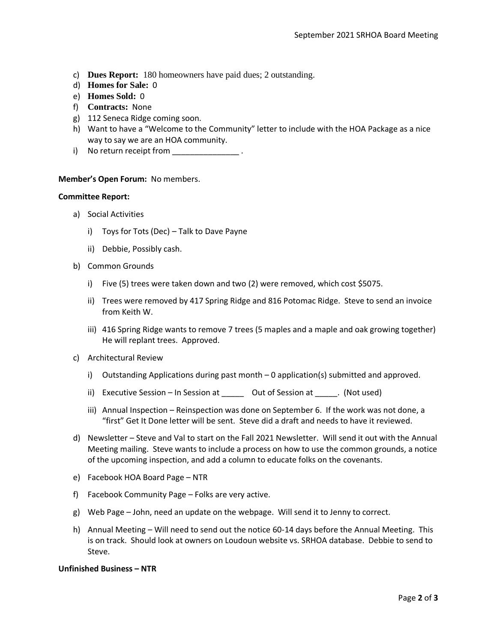- c) **Dues Report:** 180 homeowners have paid dues; 2 outstanding.
- d) **Homes for Sale:** 0
- e) **Homes Sold:** 0
- f) **Contracts:** None
- g) 112 Seneca Ridge coming soon.
- h) Want to have a "Welcome to the Community" letter to include with the HOA Package as a nice way to say we are an HOA community.
- i) No return receipt from \_\_\_\_\_\_\_\_\_\_\_\_\_\_

#### **Member's Open Forum:** No members.

#### **Committee Report:**

- a) Social Activities
	- i) Toys for Tots (Dec) Talk to Dave Payne
	- ii) Debbie, Possibly cash.
- b) Common Grounds
	- i) Five (5) trees were taken down and two (2) were removed, which cost \$5075.
	- ii) Trees were removed by 417 Spring Ridge and 816 Potomac Ridge. Steve to send an invoice from Keith W.
	- iii) 416 Spring Ridge wants to remove 7 trees (5 maples and a maple and oak growing together) He will replant trees. Approved.
- c) Architectural Review
	- i) Outstanding Applications during past month 0 application(s) submitted and approved.
	- ii) Executive Session In Session at \_\_\_\_\_\_ Out of Session at \_\_\_\_\_. (Not used)
	- iii) Annual Inspection Reinspection was done on September 6. If the work was not done, a "first" Get It Done letter will be sent. Steve did a draft and needs to have it reviewed.
- d) Newsletter Steve and Val to start on the Fall 2021 Newsletter. Will send it out with the Annual Meeting mailing. Steve wants to include a process on how to use the common grounds, a notice of the upcoming inspection, and add a column to educate folks on the covenants.
- e) Facebook HOA Board Page NTR
- f) Facebook Community Page Folks are very active.
- g) Web Page John, need an update on the webpage. Will send it to Jenny to correct.
- h) Annual Meeting Will need to send out the notice 60-14 days before the Annual Meeting. This is on track. Should look at owners on Loudoun website vs. SRHOA database. Debbie to send to Steve.

### **Unfinished Business – NTR**